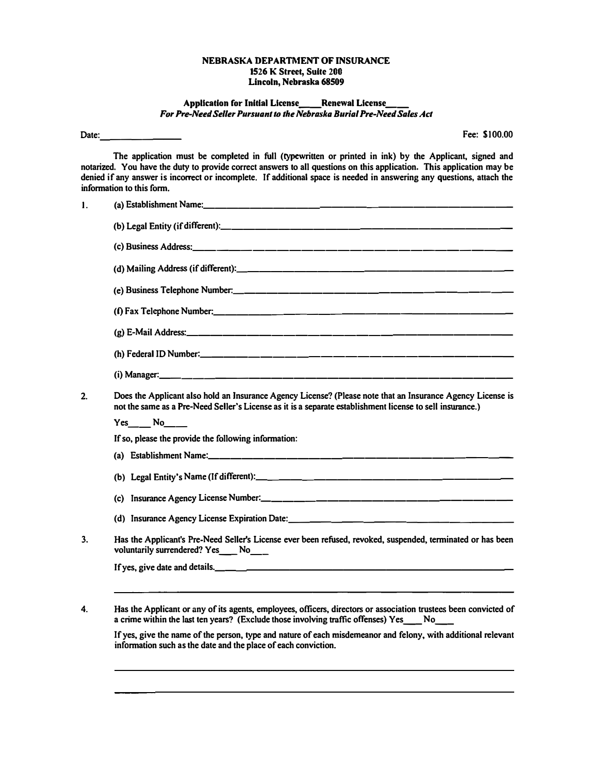#### **NEBRASKA DEPARTMENT OF INSURANCE 1526 K Street, Suite 200 Lincoln, Nebraska 68509**

#### Application for Initial License\_\_\_Renewal License\_ *For Pre-Need Seller Pursuant to the Nebraska Burial Pre-Need Sales Act*

**Date:. \_\_\_\_\_\_\_ \_ Fee: \$100.00** 

**The application must be completed in full (typewritten or printed in ink) by the Applicant, signed and notarized. You have the duty to provide correct answers to all questions on this application. This application may be denied if any answer is incorrect or incomplete. If additional space is needed in answering any questions, attach the information to this form.** 

| $\mathbf{1}$ |                                                                                                                                                                                                                         |
|--------------|-------------------------------------------------------------------------------------------------------------------------------------------------------------------------------------------------------------------------|
|              |                                                                                                                                                                                                                         |
|              |                                                                                                                                                                                                                         |
|              |                                                                                                                                                                                                                         |
|              |                                                                                                                                                                                                                         |
|              |                                                                                                                                                                                                                         |
|              |                                                                                                                                                                                                                         |
|              |                                                                                                                                                                                                                         |
|              |                                                                                                                                                                                                                         |
| 2.           | Does the Applicant also hold an Insurance Agency License? (Please note that an Insurance Agency License is<br>not the same as a Pre-Need Seller's License as it is a separate establishment license to sell insurance.) |
|              | Yes No                                                                                                                                                                                                                  |
|              | If so, please the provide the following information:                                                                                                                                                                    |
|              |                                                                                                                                                                                                                         |
|              |                                                                                                                                                                                                                         |
|              |                                                                                                                                                                                                                         |
|              |                                                                                                                                                                                                                         |
| 3.           | Has the Applicant's Pre-Need Seller's License ever been refused, revoked, suspended, terminated or has been<br>voluntarily surrendered? Yes No                                                                          |
|              |                                                                                                                                                                                                                         |
|              |                                                                                                                                                                                                                         |
| 4.           | Has the Applicant or any of its agents, employees, officers, directors or association trustees been convicted of                                                                                                        |

**a crime within the last ten years? (Exclude those involving traffic offenses) Yes \_\_ No \_\_**

**If yes, give the name of the person, type and nature of each misdemeanor and felony, with additional relevant information such as the date and the place of each conviction.**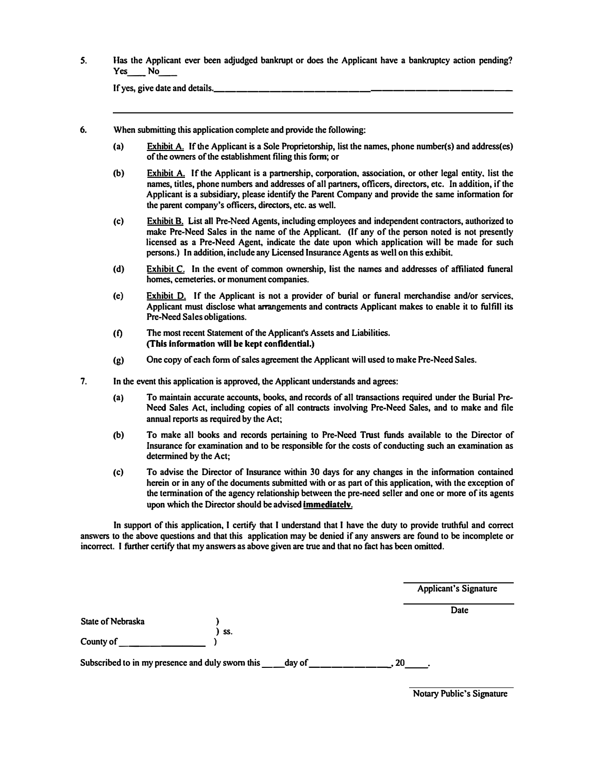*5.* **Has the Applicant ever been adjudged bankrupt or does the Applicant have a bankruptcy action pending? Yes \_\_ No \_\_**

**If yes, give date and details. \_\_\_\_\_\_\_\_\_\_\_\_\_\_\_\_\_\_\_\_\_\_\_\_\_\_ \_**

- **6. When submitting this application complete and provide the following:**
	- **(a) Exhibit A. If the Applicant is a Sole Proprietorship, list the names, phone number(s) and address(es) of the owners of the establishment filing this form; or**
	- **(b) Exhibit A. If the Applicant is a partnership, corporation, association, or other legal entity, list the names, titles, phone numbers and addresses of all partners, officers, directors, etc. In addition, if the Applicant is a subsidiary, please identify the Parent Company and provide the same infonnation for the parent company's officers, directors, etc. as well.**
	- **(c) Exhibit B. List all Pre-Need Agents, including employees and independent contractors, authorized to make Pre-Need Sales in the name of the Applicant. (If any of the person noted is not presently licensed as a Pre-Need Agent, indicate the date upon which application will be made for such persons.) In addition, include any Licensed Insurance Agents as well on this exhibit.**
	- **(d) Exhibit C. In the event of common ownership, list the names and addresses of affiliated funeral homes, cemeteries, or monument companies.**
	- **(e) Exhibit D. If the Applicant is not a provider of burial or funeral merchandise and/or services, Applicant must disclose what arrangements and contracts Applicant makes to enable it to fulfill its Pre-Need Sales obligations.**
	- **(t) The most recent Statement of the Applicant's Assets and Liabilities.** (This information will be kept confidential.)
	- **(g) One copy of each form of sales agreement the Applicant will used to make Pre-Need Sales.**
- **7. In the event this application is approved, the Applicant understands and agrees:**
	- **(a) To maintain accurate accounts, books, and records of all transactions required under the Burial � Need Sales Act, including copies of all contracts involving Pre-Need Sales, and to make and file annual reports as required by the Act;**
	- **(b) To make all books and records pertaining to Pre-Need Trust funds available to the Director of Insurance for examination and to be responsible for the costs of conducting such an examination as determined by the Act;**
	- **(c) To advise the Director of Insurance within 30 days for any changes in the information contained herein or in any of the documents submitted with or as part of this application, with the exception of the tennination of the agency relationship between the pre-need seller and one or more of its agents upon which the Director should be advised immediatelv.**

**In support of this application, I certify that I understand that I have the duty to provide truthful and correct answers to the above questions and that this application may be denied if any answers are found to be incomplete or incorrect. I further certify that my answers as above given are true and that no fact has been omitted.** 

**Applicant's Signature** 

**Date** 

**State of Nebraska County of \_\_\_\_\_\_\_ \_ ) ) ss. )** 

Subscribed to in my presence and duly sworn this day of **the subscribed** to in my presence and duly sworn this

**Notary Public's Signature**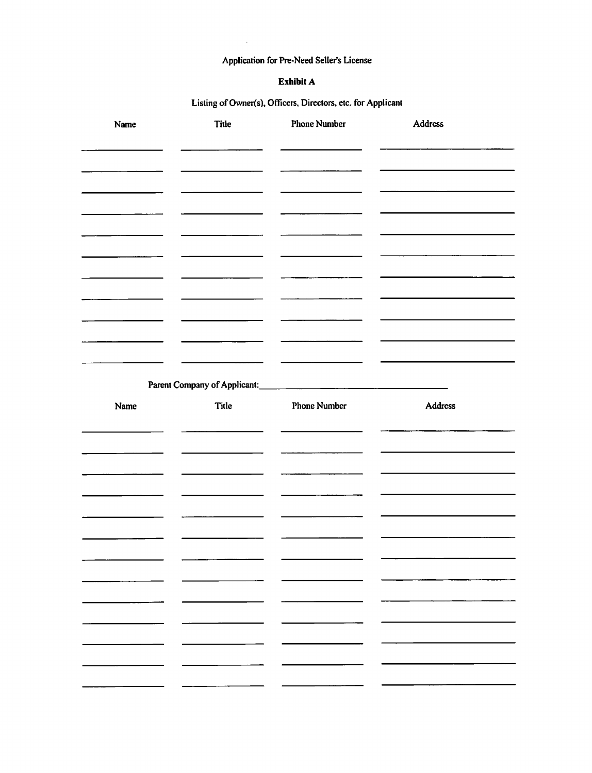## Application for Pre-Need Seller's License

### Exhibit A

# Listing of Owner(s), Officers, Directors, etc. for Applicant

| Name                     | Title                        | <b>Phone Number</b>                          | Address |
|--------------------------|------------------------------|----------------------------------------------|---------|
|                          |                              |                                              |         |
|                          |                              |                                              |         |
|                          |                              |                                              |         |
|                          |                              |                                              |         |
|                          |                              |                                              |         |
|                          |                              |                                              |         |
|                          |                              |                                              |         |
|                          |                              |                                              |         |
|                          |                              |                                              |         |
|                          |                              |                                              |         |
|                          |                              |                                              |         |
|                          |                              |                                              |         |
|                          |                              |                                              |         |
|                          |                              |                                              |         |
|                          |                              |                                              |         |
|                          |                              |                                              |         |
|                          |                              |                                              |         |
|                          |                              |                                              |         |
|                          | Parent Company of Applicant: | <u> 1990 - Jan Barnett, fransk politik (</u> |         |
|                          |                              |                                              |         |
| Name                     | Title                        | <b>Phone Number</b>                          | Address |
|                          |                              |                                              |         |
|                          |                              |                                              |         |
|                          |                              |                                              |         |
|                          |                              |                                              |         |
|                          |                              |                                              |         |
|                          |                              |                                              |         |
|                          |                              |                                              |         |
|                          |                              |                                              |         |
|                          |                              |                                              |         |
|                          |                              |                                              |         |
|                          |                              |                                              |         |
|                          |                              |                                              | -       |
|                          |                              |                                              |         |
| $\mathbf{r}$             |                              | $\overline{\phantom{a}}$                     |         |
|                          | $\overline{\phantom{0}}$     | $\overline{\phantom{a}}$                     |         |
| $\overline{\phantom{0}}$ |                              |                                              |         |
| — 11                     | -                            | $ -$                                         |         |
|                          |                              |                                              |         |
|                          |                              |                                              |         |
|                          | - 1                          | $\overline{\phantom{iiiiiiiiiiiii}}$         |         |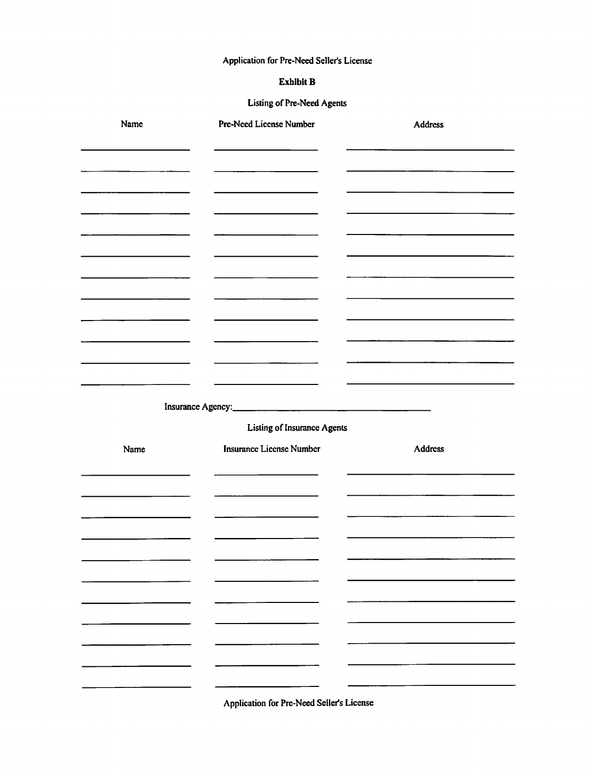# Application for Pre-Need Seller's License

### **Exhibit B**

## Listing of Pre-Need Agents

| Name                     | Pre-Need License Number         | Address |
|--------------------------|---------------------------------|---------|
|                          |                                 |         |
|                          |                                 |         |
|                          |                                 |         |
|                          |                                 |         |
|                          |                                 |         |
|                          |                                 |         |
|                          |                                 |         |
|                          |                                 |         |
|                          |                                 |         |
|                          |                                 |         |
|                          |                                 |         |
|                          |                                 |         |
|                          |                                 |         |
|                          |                                 |         |
|                          |                                 |         |
|                          | Listing of Insurance Agents     |         |
| Name                     | <b>Insurance License Number</b> | Address |
|                          |                                 |         |
|                          |                                 |         |
|                          |                                 |         |
|                          |                                 |         |
|                          |                                 |         |
|                          |                                 |         |
|                          |                                 |         |
|                          |                                 |         |
|                          | н.                              | -       |
|                          |                                 |         |
|                          | Ξ.<br>$\overline{\phantom{0}}$  |         |
| $\overline{\phantom{0}}$ |                                 |         |

Application for Pre-Need Seller's License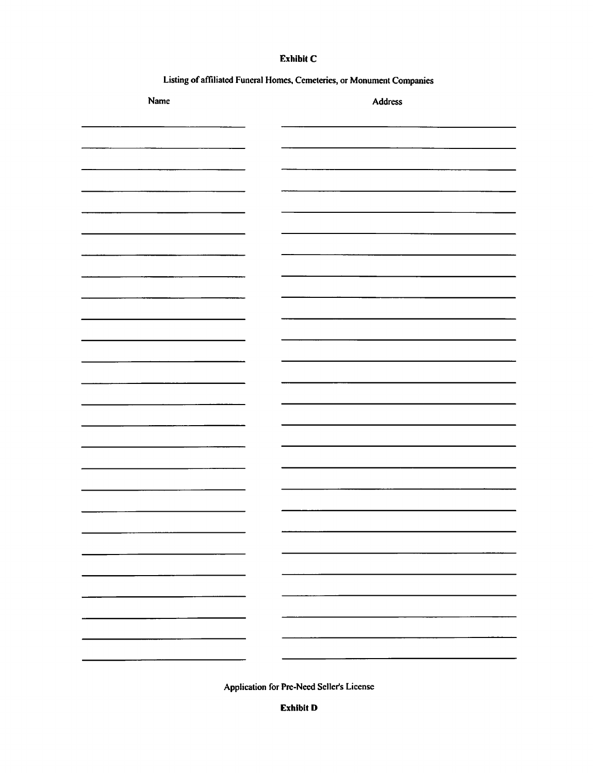### Exhibit C

Listing of affiliated Funeral Homes, Cemeteries, or Monument Companies

| Name                                                               | Address |
|--------------------------------------------------------------------|---------|
|                                                                    |         |
|                                                                    |         |
|                                                                    |         |
|                                                                    |         |
|                                                                    |         |
|                                                                    |         |
|                                                                    |         |
|                                                                    |         |
|                                                                    |         |
|                                                                    |         |
|                                                                    |         |
|                                                                    |         |
|                                                                    |         |
|                                                                    |         |
|                                                                    |         |
| $\frac{1}{2}$ and $\frac{1}{2}$ and $\frac{1}{2}$                  | -       |
|                                                                    |         |
|                                                                    | -       |
| $\sim$ 100 $\mu$ 100 $\mu$<br>$\mathbf{L} = \mathbf{L} \mathbf{L}$ |         |
|                                                                    |         |

Application for Pre-Need Seller's License

**Exhibit D**